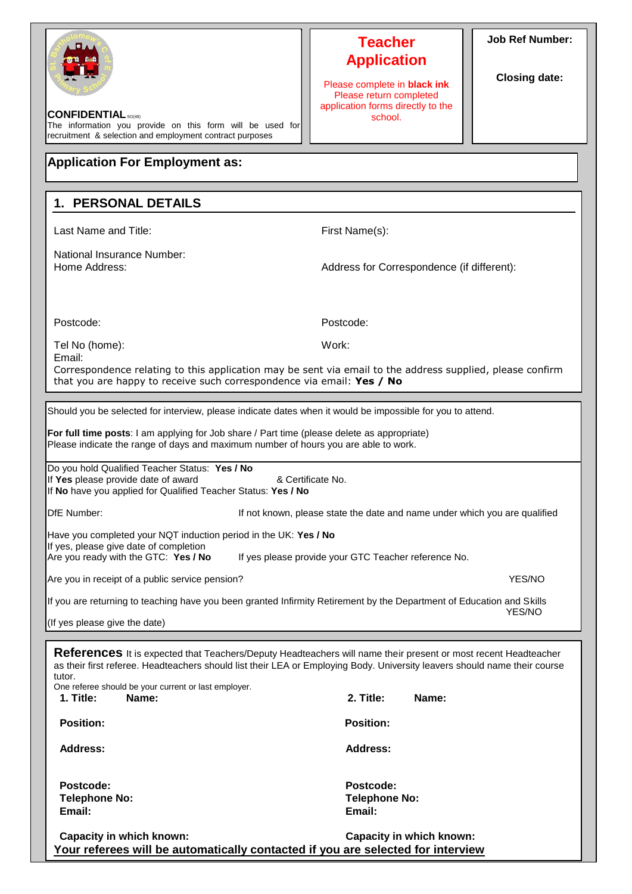| <b>CONFIDENTIAL</b> SO(48)<br>The information you provide on this form will be used for<br>recruitment & selection and employment contract purposes                                                                                                                                                                                                              | <b>Teacher</b><br><b>Application</b><br>Please complete in <b>black ink</b><br>Please return completed<br>application forms directly to the<br>school. | <b>Job Ref Number:</b><br><b>Closing date:</b> |  |  |  |
|------------------------------------------------------------------------------------------------------------------------------------------------------------------------------------------------------------------------------------------------------------------------------------------------------------------------------------------------------------------|--------------------------------------------------------------------------------------------------------------------------------------------------------|------------------------------------------------|--|--|--|
| <b>Application For Employment as:</b>                                                                                                                                                                                                                                                                                                                            |                                                                                                                                                        |                                                |  |  |  |
| 1. PERSONAL DETAILS                                                                                                                                                                                                                                                                                                                                              |                                                                                                                                                        |                                                |  |  |  |
| Last Name and Title:                                                                                                                                                                                                                                                                                                                                             | First Name(s):                                                                                                                                         |                                                |  |  |  |
| National Insurance Number:<br>Home Address:                                                                                                                                                                                                                                                                                                                      | Address for Correspondence (if different):                                                                                                             |                                                |  |  |  |
| Postcode:                                                                                                                                                                                                                                                                                                                                                        | Postcode:                                                                                                                                              |                                                |  |  |  |
| Tel No (home):                                                                                                                                                                                                                                                                                                                                                   | Work:                                                                                                                                                  |                                                |  |  |  |
| Email:<br>Correspondence relating to this application may be sent via email to the address supplied, please confirm<br>that you are happy to receive such correspondence via email: Yes / No                                                                                                                                                                     |                                                                                                                                                        |                                                |  |  |  |
| Should you be selected for interview, please indicate dates when it would be impossible for you to attend.                                                                                                                                                                                                                                                       |                                                                                                                                                        |                                                |  |  |  |
| For full time posts: I am applying for Job share / Part time (please delete as appropriate)<br>Please indicate the range of days and maximum number of hours you are able to work.                                                                                                                                                                               |                                                                                                                                                        |                                                |  |  |  |
| Do you hold Qualified Teacher Status: Yes / No<br>If Yes please provide date of award<br>If No have you applied for Qualified Teacher Status: Yes / No                                                                                                                                                                                                           | & Certificate No.                                                                                                                                      |                                                |  |  |  |
| DfE Number:                                                                                                                                                                                                                                                                                                                                                      | If not known, please state the date and name under which you are qualified                                                                             |                                                |  |  |  |
| Have you completed your NQT induction period in the UK: Yes / No<br>If yes, please give date of completion<br>Are you ready with the GTC: Yes / No                                                                                                                                                                                                               | If yes please provide your GTC Teacher reference No.                                                                                                   |                                                |  |  |  |
| Are you in receipt of a public service pension?                                                                                                                                                                                                                                                                                                                  | YES/NO                                                                                                                                                 |                                                |  |  |  |
| If you are returning to teaching have you been granted Infirmity Retirement by the Department of Education and Skills<br>YES/NO                                                                                                                                                                                                                                  |                                                                                                                                                        |                                                |  |  |  |
| (If yes please give the date)                                                                                                                                                                                                                                                                                                                                    |                                                                                                                                                        |                                                |  |  |  |
| <b>References</b> It is expected that Teachers/Deputy Headteachers will name their present or most recent Headteacher<br>as their first referee. Headteachers should list their LEA or Employing Body. University leavers should name their course<br>tutor.<br>One referee should be your current or last employer.<br>2. Title:<br>Name:<br>Name:<br>1. Title: |                                                                                                                                                        |                                                |  |  |  |
| <b>Position:</b>                                                                                                                                                                                                                                                                                                                                                 | <b>Position:</b>                                                                                                                                       |                                                |  |  |  |
| <b>Address:</b>                                                                                                                                                                                                                                                                                                                                                  | <b>Address:</b>                                                                                                                                        |                                                |  |  |  |
| Postcode:<br><b>Telephone No:</b><br>Email:                                                                                                                                                                                                                                                                                                                      | Postcode:<br><b>Telephone No:</b><br>Email:                                                                                                            |                                                |  |  |  |
| Capacity in which known:<br>Your referees will be automatically contacted if you are selected for interview                                                                                                                                                                                                                                                      | Capacity in which known:                                                                                                                               |                                                |  |  |  |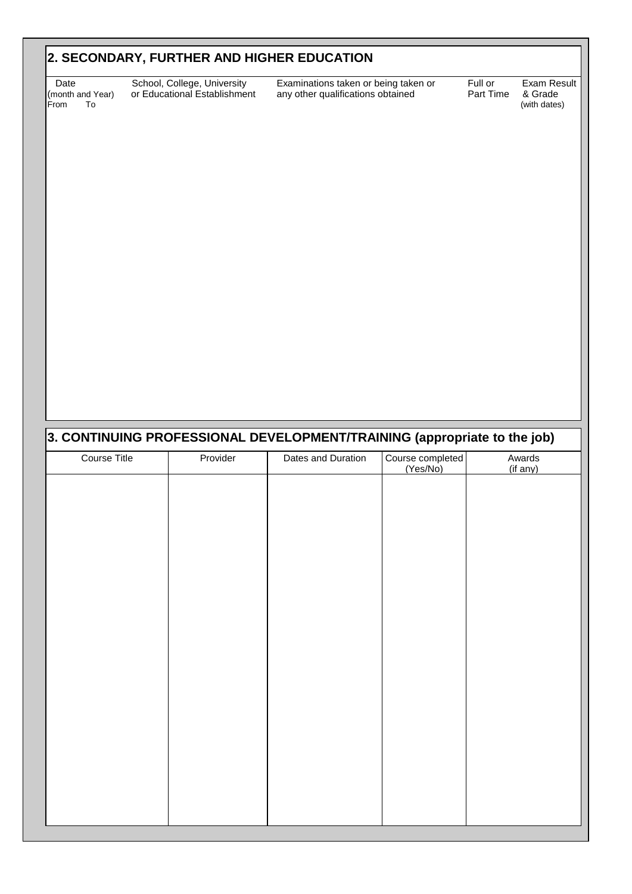# **2. SECONDARY, FURTHER AND HIGHER EDUCATION**

(month and Year)<br>From To

Date School, College, University Examinations taken or being taken or Full or Exam Result<br>
nonth and Year) or Educational Establishment any other qualifications obtained Part Time & Grade any other qualifications obtained Part Time & Grade<br>(with dates)

# Course Title Title The Provider The Dates and Duration | Course completed (Yes/No) Awards (if any) **3. CONTINUING PROFESSIONAL DEVELOPMENT/TRAINING (appropriate to the job)**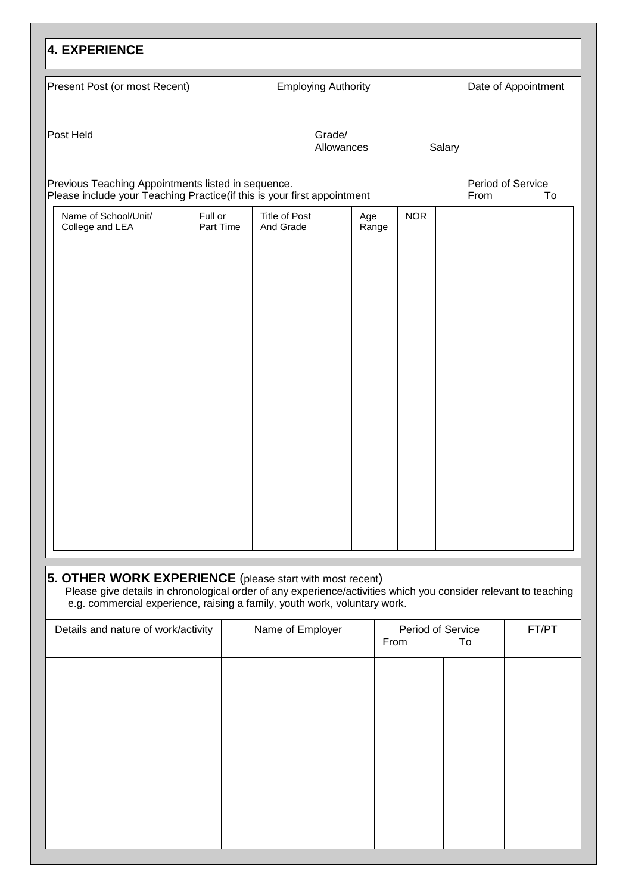| <b>4. EXPERIENCE</b>                               |                                                                         |                                   |              |            |                                 |
|----------------------------------------------------|-------------------------------------------------------------------------|-----------------------------------|--------------|------------|---------------------------------|
| Present Post (or most Recent)                      |                                                                         | <b>Employing Authority</b>        |              |            | Date of Appointment             |
| Post Held                                          |                                                                         | Grade/<br>Allowances              |              | Salary     |                                 |
| Previous Teaching Appointments listed in sequence. | Please include your Teaching Practice(if this is your first appointment |                                   |              |            | Period of Service<br>From<br>To |
| Name of School/Unit/<br>College and LEA            | Full or<br>Part Time                                                    | <b>Title of Post</b><br>And Grade | Age<br>Range | <b>NOR</b> |                                 |
|                                                    |                                                                         |                                   |              |            |                                 |
|                                                    |                                                                         |                                   |              |            |                                 |
|                                                    |                                                                         |                                   |              |            |                                 |
|                                                    |                                                                         |                                   |              |            |                                 |
|                                                    |                                                                         |                                   |              |            |                                 |
|                                                    |                                                                         |                                   |              |            |                                 |
|                                                    |                                                                         |                                   |              |            |                                 |
|                                                    |                                                                         |                                   |              |            |                                 |
|                                                    |                                                                         |                                   |              |            |                                 |
|                                                    |                                                                         |                                   |              |            |                                 |
|                                                    |                                                                         |                                   |              |            |                                 |

# **5. OTHER WORK EXPERIENCE** (please start with most recent)

Please give details in chronological order of any experience/activities which you consider relevant to teaching e.g. commercial experience, raising a family, youth work, voluntary work.

| Details and nature of work/activity | Name of Employer | Period of Service<br>From<br>To | FT/PT |
|-------------------------------------|------------------|---------------------------------|-------|
|                                     |                  |                                 |       |
|                                     |                  |                                 |       |
|                                     |                  |                                 |       |
|                                     |                  |                                 |       |
|                                     |                  |                                 |       |